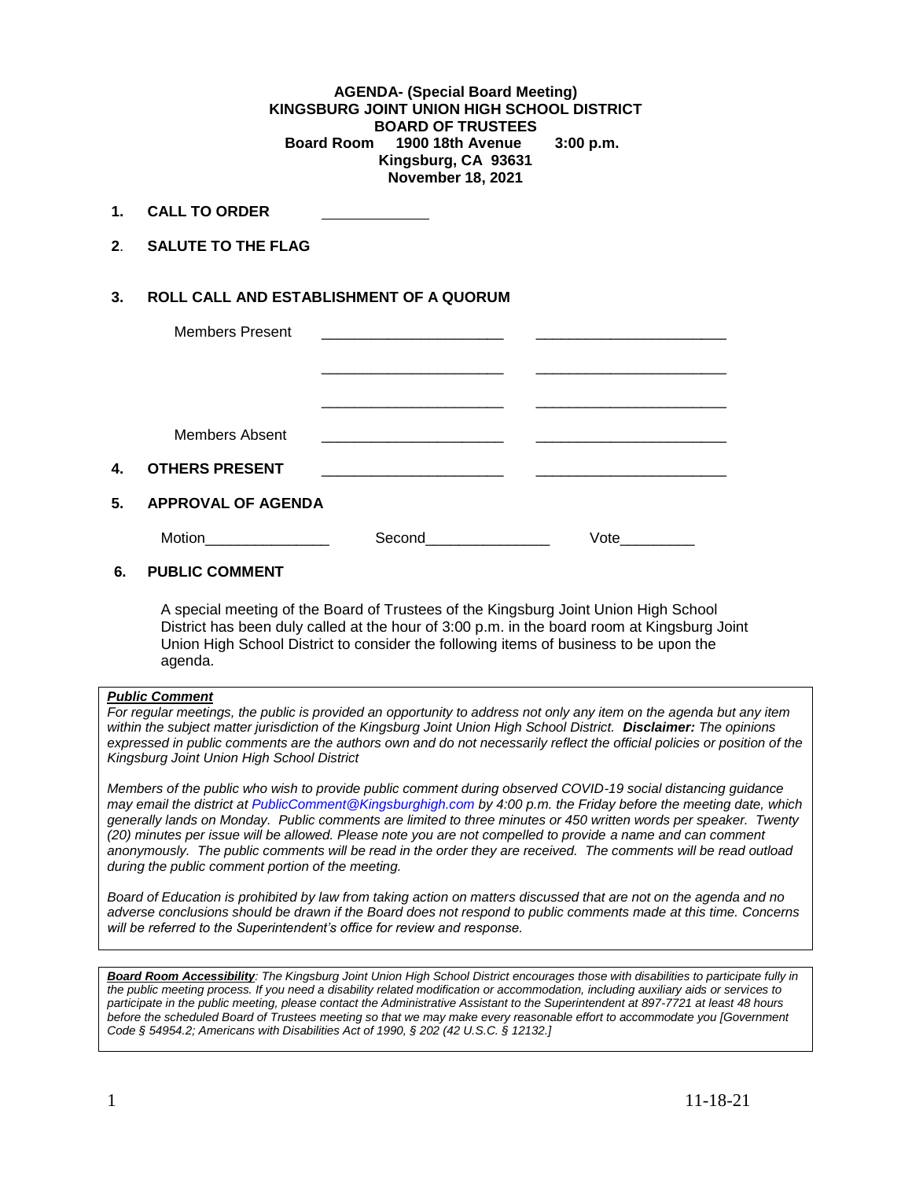### **AGENDA- (Special Board Meeting) KINGSBURG JOINT UNION HIGH SCHOOL DISTRICT BOARD OF TRUSTEES Board Room 1900 18th Avenue 3:00 p.m. Kingsburg, CA 93631 November 18, 2021**

- **1. CALL TO ORDER**
- **2**. **SALUTE TO THE FLAG**

## **3. ROLL CALL AND ESTABLISHMENT OF A QUORUM**

|    | <b>Members Present</b>    |                                                                                 |      |  |
|----|---------------------------|---------------------------------------------------------------------------------|------|--|
|    |                           |                                                                                 |      |  |
|    |                           |                                                                                 |      |  |
|    |                           |                                                                                 |      |  |
|    |                           |                                                                                 |      |  |
|    | Members Absent            | the contract of the contract of the contract of the contract of the contract of |      |  |
| 4. | <b>OTHERS PRESENT</b>     | the contract of the contract of the contract of the contract of the contract of |      |  |
|    |                           |                                                                                 |      |  |
| 5. | <b>APPROVAL OF AGENDA</b> |                                                                                 |      |  |
|    | Motion                    | Second<br>the control of the control of                                         | Vote |  |

### **6. PUBLIC COMMENT**

A special meeting of the Board of Trustees of the Kingsburg Joint Union High School District has been duly called at the hour of 3:00 p.m. in the board room at Kingsburg Joint Union High School District to consider the following items of business to be upon the agenda.

#### *Public Comment*

*For regular meetings, the public is provided an opportunity to address not only any item on the agenda but any item within the subject matter jurisdiction of the Kingsburg Joint Union High School District. Disclaimer: The opinions expressed in public comments are the authors own and do not necessarily reflect the official policies or position of the Kingsburg Joint Union High School District*

*Members of the public who wish to provide public comment during observed COVID-19 social distancing guidance may email the district at [PublicComment@Kingsburghigh.com](mailto:PublicComment@Kingsburghigh.com) by 4:00 p.m. the Friday before the meeting date, which generally lands on Monday. Public comments are limited to three minutes or 450 written words per speaker. Twenty (20) minutes per issue will be allowed. Please note you are not compelled to provide a name and can comment anonymously. The public comments will be read in the order they are received. The comments will be read outload during the public comment portion of the meeting.*

*Board of Education is prohibited by law from taking action on matters discussed that are not on the agenda and no adverse conclusions should be drawn if the Board does not respond to public comments made at this time. Concerns will be referred to the Superintendent's office for review and response.* 

*Board Room Accessibility: The Kingsburg Joint Union High School District encourages those with disabilities to participate fully in the public meeting process. If you need a disability related modification or accommodation, including auxiliary aids or services to participate in the public meeting, please contact the Administrative Assistant to the Superintendent at 897-7721 at least 48 hours before the scheduled Board of Trustees meeting so that we may make every reasonable effort to accommodate you [Government Code § 54954.2; Americans with Disabilities Act of 1990, § 202 (42 U.S.C. § 12132.]*